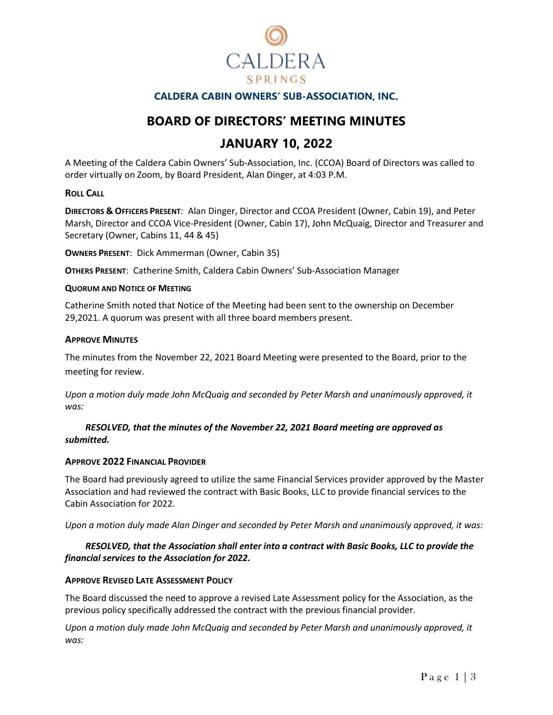

## **CALDERA CABIN OWNERS' SUB-ASSOCIATION, INC**.

# **BOARD OF DIRECTORS' MEETING MINUTES**

# **JANUARY 10, 2022**

A Meeting of the Caldera Cabin Owners' Sub-Association, Inc. (CCOA) Board of Directors was called to order virtually on Zoom, by Board President, Alan Dinger, at 4:03 P.M.

### **ROLL CALL**

**DIRECTORS & OFFICERS PRESENT***:* Alan Dinger, Director and CCOA President (Owner, Cabin 19), and Peter Marsh, Director and CCOA Vice-President (Owner, Cabin 17), John McQuaig, Director and Treasurer and Secretary (Owner, Cabins 11, 44 & 45)

**OWNERS PRESENT**: Dick Ammerman (Owner, Cabin 35)

**OTHERS PRESENT**: Catherine Smith, Caldera Cabin Owners' Sub-Association Manager

### **QUORUM AND NOTICE OF MEETING**

Catherine Smith noted that Notice of the Meeting had been sent to the ownership on December 29,2021. A quorum was present with all three board members present.

### **APPROVE MINUTES**

The minutes from the November 22, 2021 Board Meeting were presented to the Board, prior to the meeting for review.

*Upon a motion duly made John McQuaig and seconded by Peter Marsh and unanimously approved, it was:*

*RESOLVED, that the minutes of the November 22, 2021 Board meeting are approved as submitted.* 

## **APPROVE 2022 FINANCIAL PROVIDER**

The Board had previously agreed to utilize the same Financial Services provider approved by the Master Association and had reviewed the contract with Basic Books, LLC to provide financial services to the Cabin Association for 2022.

*Upon a motion duly made Alan Dinger and seconded by Peter Marsh and unanimously approved, it was:*

## *RESOLVED, that the Association shall enter into a contract with Basic Books, LLC to provide the financial services to the Association for 2022.*

## **APPROVE REVISED LATE ASSESSMENT POLICY**

The Board discussed the need to approve a revised Late Assessment policy for the Association, as the previous policy specifically addressed the contract with the previous financial provider.

*Upon a motion duly made John McQuaig and seconded by Peter Marsh and unanimously approved, it was:*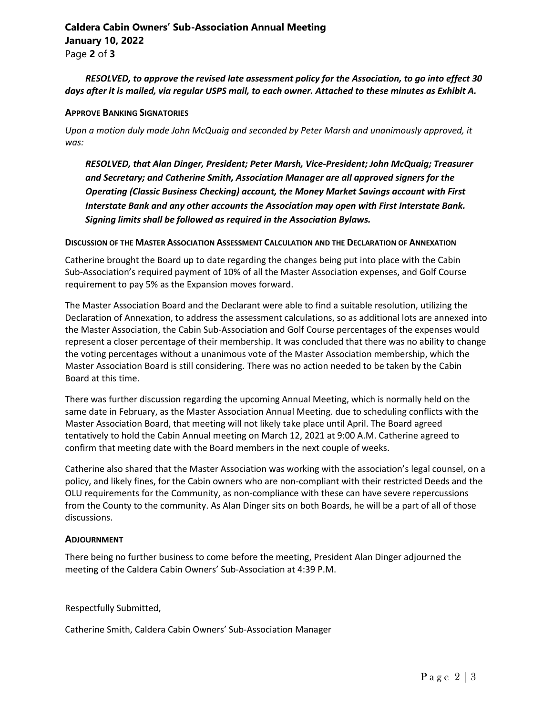# **Caldera Cabin Owners' Sub-Association Annual Meeting January 10, 2022**

Page **2** of **3**

## *RESOLVED, to approve the revised late assessment policy for the Association, to go into effect 30 days after it is mailed, via regular USPS mail, to each owner. Attached to these minutes as Exhibit A.*

### **APPROVE BANKING SIGNATORIES**

*Upon a motion duly made John McQuaig and seconded by Peter Marsh and unanimously approved, it was:*

*RESOLVED, that Alan Dinger, President; Peter Marsh, Vice-President; John McQuaig; Treasurer and Secretary; and Catherine Smith, Association Manager are all approved signers for the Operating (Classic Business Checking) account, the Money Market Savings account with First Interstate Bank and any other accounts the Association may open with First Interstate Bank. Signing limits shall be followed as required in the Association Bylaws.*

#### **DISCUSSION OF THE MASTER ASSOCIATION ASSESSMENT CALCULATION AND THE DECLARATION OF ANNEXATION**

Catherine brought the Board up to date regarding the changes being put into place with the Cabin Sub-Association's required payment of 10% of all the Master Association expenses, and Golf Course requirement to pay 5% as the Expansion moves forward.

The Master Association Board and the Declarant were able to find a suitable resolution, utilizing the Declaration of Annexation, to address the assessment calculations, so as additional lots are annexed into the Master Association, the Cabin Sub-Association and Golf Course percentages of the expenses would represent a closer percentage of their membership. It was concluded that there was no ability to change the voting percentages without a unanimous vote of the Master Association membership, which the Master Association Board is still considering. There was no action needed to be taken by the Cabin Board at this time.

There was further discussion regarding the upcoming Annual Meeting, which is normally held on the same date in February, as the Master Association Annual Meeting. due to scheduling conflicts with the Master Association Board, that meeting will not likely take place until April. The Board agreed tentatively to hold the Cabin Annual meeting on March 12, 2021 at 9:00 A.M. Catherine agreed to confirm that meeting date with the Board members in the next couple of weeks.

Catherine also shared that the Master Association was working with the association's legal counsel, on a policy, and likely fines, for the Cabin owners who are non-compliant with their restricted Deeds and the OLU requirements for the Community, as non-compliance with these can have severe repercussions from the County to the community. As Alan Dinger sits on both Boards, he will be a part of all of those discussions.

#### **ADJOURNMENT**

There being no further business to come before the meeting, President Alan Dinger adjourned the meeting of the Caldera Cabin Owners' Sub-Association at 4:39 P.M.

## Respectfully Submitted,

Catherine Smith, Caldera Cabin Owners' Sub-Association Manager